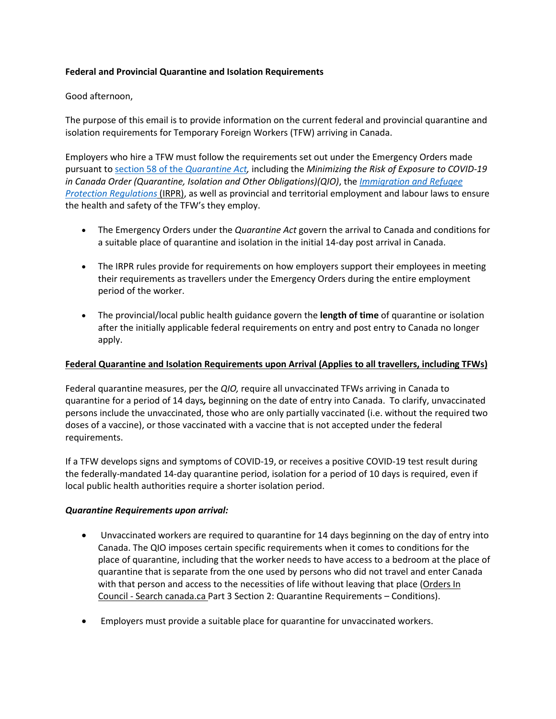## **Federal and Provincial Quarantine and Isolation Requirements**

## Good afternoon,

The purpose of this email is to provide information on the current federal and provincial quarantine and isolation requirements for Temporary Foreign Workers (TFW) arriving in Canada.

Employers who hire a TFW must follow the requirements set out under the Emergency Orders made pursuant t[o section 58 of the](https://can01.safelinks.protection.outlook.com/?url=https%3A%2F%2Flaws-lois.justice.gc.ca%2Feng%2Facts%2Fq-1.1%2FFullText.html&data=04%7C01%7CDIvany%40kairoscanada.org%7C464be303bea74775aadd08da1672bf3e%7Ccf18b5a826784011931215f0f7157574%7C0%7C0%7C637846979328636098%7CUnknown%7CTWFpbGZsb3d8eyJWIjoiMC4wLjAwMDAiLCJQIjoiV2luMzIiLCJBTiI6Ik1haWwiLCJXVCI6Mn0%3D%7C3000&sdata=CIvjvnZSkkTwWiBoa8C%2Fryuu20mJJSwGTc%2FPsmk7SqU%3D&reserved=0) *Quarantine Act,* including the *Minimizing the Risk of Exposure to COVID-19 in Canada Order (Quarantine, Isolation and Other Obligations)(QIO)*, the *[Immigration and Refugee](https://can01.safelinks.protection.outlook.com/?url=https%3A%2F%2Flaws-lois.justice.gc.ca%2FPDF%2FSOR-2002-227.pdf&data=04%7C01%7CDIvany%40kairoscanada.org%7C464be303bea74775aadd08da1672bf3e%7Ccf18b5a826784011931215f0f7157574%7C0%7C0%7C637846979328636098%7CUnknown%7CTWFpbGZsb3d8eyJWIjoiMC4wLjAwMDAiLCJQIjoiV2luMzIiLCJBTiI6Ik1haWwiLCJXVCI6Mn0%3D%7C3000&sdata=Eeiel6L4uT6jd7h1S%2BjavE82Pvu0%2F9K17xEj1UHbTlI%3D&reserved=0)  [Protection Regulations](https://can01.safelinks.protection.outlook.com/?url=https%3A%2F%2Flaws-lois.justice.gc.ca%2FPDF%2FSOR-2002-227.pdf&data=04%7C01%7CDIvany%40kairoscanada.org%7C464be303bea74775aadd08da1672bf3e%7Ccf18b5a826784011931215f0f7157574%7C0%7C0%7C637846979328636098%7CUnknown%7CTWFpbGZsb3d8eyJWIjoiMC4wLjAwMDAiLCJQIjoiV2luMzIiLCJBTiI6Ik1haWwiLCJXVCI6Mn0%3D%7C3000&sdata=Eeiel6L4uT6jd7h1S%2BjavE82Pvu0%2F9K17xEj1UHbTlI%3D&reserved=0)* (IRPR), as well as provincial and territorial employment and labour laws to ensure the health and safety of the TFW's they employ.

- The Emergency Orders under the *Quarantine Act* govern the arrival to Canada and conditions for a suitable place of quarantine and isolation in the initial 14-day post arrival in Canada.
- The IRPR rules provide for requirements on how employers support their employees in meeting their requirements as travellers under the Emergency Orders during the entire employment period of the worker.
- The provincial/local public health guidance govern the **length of time** of quarantine or isolation after the initially applicable federal requirements on entry and post entry to Canada no longer apply.

#### **Federal Quarantine and Isolation Requirements upon Arrival (Applies to all travellers, including TFWs)**

Federal quarantine measures, per the *QIO,* require all unvaccinated TFWs arriving in Canada to quarantine for a period of 14 days*,* beginning on the date of entry into Canada. To clarify, unvaccinated persons include the unvaccinated, those who are only partially vaccinated (i.e. without the required two doses of a vaccine), or those vaccinated with a vaccine that is not accepted under the federal requirements.

If a TFW develops signs and symptoms of COVID-19, or receives a positive COVID-19 test result during the federally-mandated 14-day quarantine period, isolation for a period of 10 days is required, even if local public health authorities require a shorter isolation period.

#### *Quarantine Requirements upon arrival:*

- Unvaccinated workers are required to quarantine for 14 days beginning on the day of entry into Canada. The QIO imposes certain specific requirements when it comes to conditions for the place of quarantine, including that the worker needs to have access to a bedroom at the place of quarantine that is separate from the one used by persons who did not travel and enter Canada with that person and access to the necessities of life without leaving that place (Orders In Council - Search canada.ca Part 3 Section 2: Quarantine Requirements – Conditions).
- Employers must provide a suitable place for quarantine for unvaccinated workers.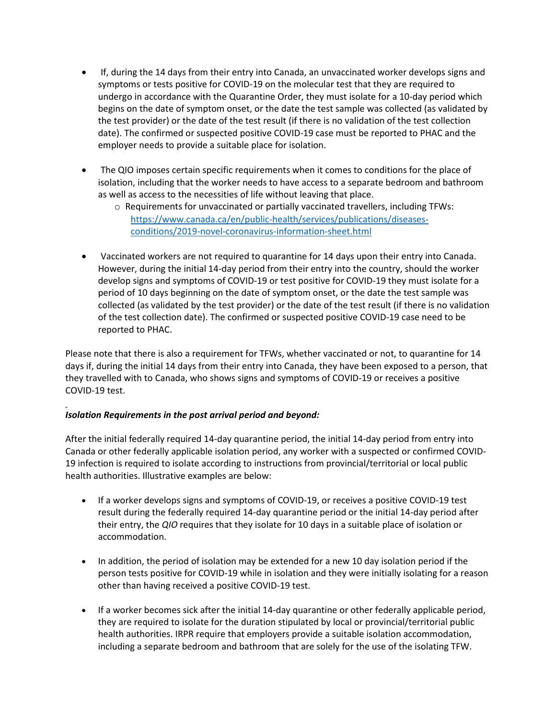- If, during the 14 days from their entry into Canada, an unvaccinated worker develops signs and symptoms or tests positive for COVID-19 on the molecular test that they are required to undergo in accordance with the Quarantine Order, they must isolate for a 10-day period which begins on the date of symptom onset, or the date the test sample was collected (as validated by the test provider) or the date of the test result (if there is no validation of the test collection date). The confirmed or suspected positive COVID-19 case must be reported to PHAC and the employer needs to provide a suitable place for isolation.
- The QIO imposes certain specific requirements when it comes to conditions for the place of isolation, including that the worker needs to have access to a separate bedroom and bathroom as well as access to the necessities of life without leaving that place.
	- o Requirements for unvaccinated or partially vaccinated travellers, including TFWs: [https://www.canada.ca/en/public-health/services/publications/diseases](https://can01.safelinks.protection.outlook.com/?url=https%3A%2F%2Fwww.canada.ca%2Fen%2Fpublic-health%2Fservices%2Fpublications%2Fdiseases-conditions%2F2019-novel-coronavirus-information-sheet.html&data=04%7C01%7CDIvany%40kairoscanada.org%7C464be303bea74775aadd08da1672bf3e%7Ccf18b5a826784011931215f0f7157574%7C0%7C0%7C637846979328636098%7CUnknown%7CTWFpbGZsb3d8eyJWIjoiMC4wLjAwMDAiLCJQIjoiV2luMzIiLCJBTiI6Ik1haWwiLCJXVCI6Mn0%3D%7C3000&sdata=vH4mL6ZS1EpPpOmYIjjtluO%2FuUY%2BM00OkejmYtAeGeI%3D&reserved=0)[conditions/2019-novel-coronavirus-information-sheet.html](https://can01.safelinks.protection.outlook.com/?url=https%3A%2F%2Fwww.canada.ca%2Fen%2Fpublic-health%2Fservices%2Fpublications%2Fdiseases-conditions%2F2019-novel-coronavirus-information-sheet.html&data=04%7C01%7CDIvany%40kairoscanada.org%7C464be303bea74775aadd08da1672bf3e%7Ccf18b5a826784011931215f0f7157574%7C0%7C0%7C637846979328636098%7CUnknown%7CTWFpbGZsb3d8eyJWIjoiMC4wLjAwMDAiLCJQIjoiV2luMzIiLCJBTiI6Ik1haWwiLCJXVCI6Mn0%3D%7C3000&sdata=vH4mL6ZS1EpPpOmYIjjtluO%2FuUY%2BM00OkejmYtAeGeI%3D&reserved=0)
- Vaccinated workers are not required to quarantine for 14 days upon their entry into Canada. However, during the initial 14-day period from their entry into the country, should the worker develop signs and symptoms of COVID-19 or test positive for COVID-19 they must isolate for a period of 10 days beginning on the date of symptom onset, or the date the test sample was collected (as validated by the test provider) or the date of the test result (if there is no validation of the test collection date). The confirmed or suspected positive COVID-19 case need to be reported to PHAC.

Please note that there is also a requirement for TFWs, whether vaccinated or not, to quarantine for 14 days if, during the initial 14 days from their entry into Canada, they have been exposed to a person, that they travelled with to Canada, who shows signs and symptoms of COVID-19 or receives a positive COVID-19 test.

# *Isolation Requirements in the post arrival period and beyond:*

After the initial federally required 14-day quarantine period, the initial 14-day period from entry into Canada or other federally applicable isolation period, any worker with a suspected or confirmed COVID-19 infection is required to isolate according to instructions from provincial/territorial or local public health authorities. Illustrative examples are below:

- If a worker develops signs and symptoms of COVID-19, or receives a positive COVID-19 test result during the federally required 14-day quarantine period or the initial 14-day period after their entry, the *QIO* requires that they isolate for 10 days in a suitable place of isolation or accommodation.
- In addition, the period of isolation may be extended for a new 10 day isolation period if the person tests positive for COVID-19 while in isolation and they were initially isolating for a reason other than having received a positive COVID-19 test.
- If a worker becomes sick after the initial 14-day quarantine or other federally applicable period, they are required to isolate for the duration stipulated by local or provincial/territorial public health authorities. IRPR require that employers provide a suitable isolation accommodation, including a separate bedroom and bathroom that are solely for the use of the isolating TFW.